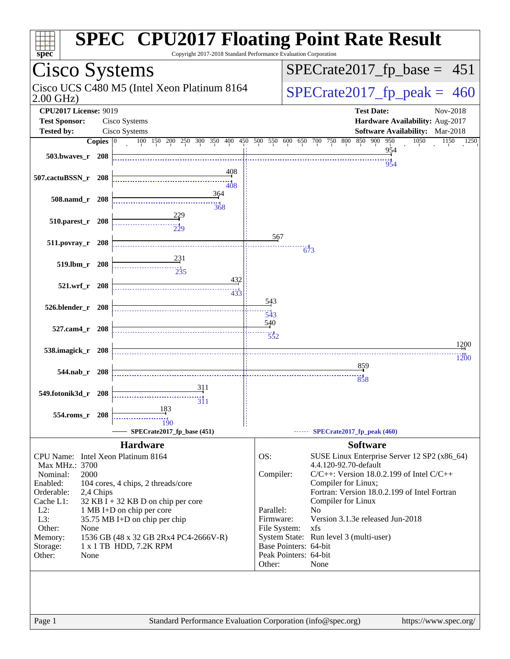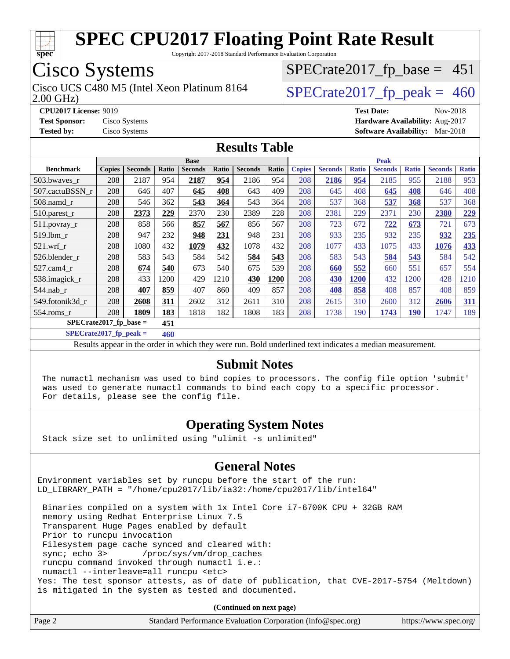

Copyright 2017-2018 Standard Performance Evaluation Corporation

## Cisco Systems

2.00 GHz) Cisco UCS C480 M5 (Intel Xeon Platinum 8164  $\vert$  [SPECrate2017\\_fp\\_peak =](http://www.spec.org/auto/cpu2017/Docs/result-fields.html#SPECrate2017fppeak) 460

 $SPECTate2017_fp\_base = 451$ 

**[Tested by:](http://www.spec.org/auto/cpu2017/Docs/result-fields.html#Testedby)** Cisco Systems **[Software Availability:](http://www.spec.org/auto/cpu2017/Docs/result-fields.html#SoftwareAvailability)** Mar-2018

**[CPU2017 License:](http://www.spec.org/auto/cpu2017/Docs/result-fields.html#CPU2017License)** 9019 **[Test Date:](http://www.spec.org/auto/cpu2017/Docs/result-fields.html#TestDate)** Nov-2018 **[Test Sponsor:](http://www.spec.org/auto/cpu2017/Docs/result-fields.html#TestSponsor)** Cisco Systems **[Hardware Availability:](http://www.spec.org/auto/cpu2017/Docs/result-fields.html#HardwareAvailability)** Aug-2017

### **[Results Table](http://www.spec.org/auto/cpu2017/Docs/result-fields.html#ResultsTable)**

|                  | <b>Base</b>                     |                |       |                |       | <b>Peak</b>    |              |               |                |              |                |              |                |              |
|------------------|---------------------------------|----------------|-------|----------------|-------|----------------|--------------|---------------|----------------|--------------|----------------|--------------|----------------|--------------|
| <b>Benchmark</b> | <b>Copies</b>                   | <b>Seconds</b> | Ratio | <b>Seconds</b> | Ratio | <b>Seconds</b> | <b>Ratio</b> | <b>Copies</b> | <b>Seconds</b> | <b>Ratio</b> | <b>Seconds</b> | <b>Ratio</b> | <b>Seconds</b> | <b>Ratio</b> |
| 503.bwaves_r     | 208                             | 2187           | 954   | 2187           | 954   | 2186           | 954          | 208           | 2186           | 954          | 2185           | 955          | 2188           | 953          |
| 507.cactuBSSN r  | 208                             | 646            | 407   | 645            | 408   | 643            | 409          | 208           | 645            | 408          | 645            | 408          | 646            | 408          |
| 508.namd_r       | 208                             | 546            | 362   | 543            | 364   | 543            | 364          | 208           | 537            | 368          | 537            | 368          | 537            | 368          |
| 510.parest_r     | 208                             | 2373           | 229   | 2370           | 230   | 2389           | 228          | 208           | 2381           | 229          | 2371           | 230          | 2380           | 229          |
| 511.povray_r     | 208                             | 858            | 566   | 857            | 567   | 856            | 567          | 208           | 723            | 672          | 722            | 673          | 721            | 673          |
| $519$ .lbm $r$   | 208                             | 947            | 232   | 948            | 231   | 948            | 231          | 208           | 933            | 235          | 932            | 235          | 932            | 235          |
| $521$ .wrf r     | 208                             | 1080           | 432   | 1079           | 432   | 1078           | 432          | 208           | 1077           | 433          | 1075           | 433          | 1076           | 433          |
| 526.blender r    | 208                             | 583            | 543   | 584            | 542   | 584            | 543          | 208           | 583            | 543          | 584            | 543          | 584            | 542          |
| $527.cam4_r$     | 208                             | 674            | 540   | 673            | 540   | 675            | 539          | 208           | 660            | 552          | 660            | 551          | 657            | 554          |
| 538.imagick_r    | 208                             | 433            | 1200  | 429            | 1210  | 430            | 1200         | 208           | 430            | 1200         | 432            | 1200         | 428            | 1210         |
| 544.nab r        | 208                             | 407            | 859   | 407            | 860   | 409            | 857          | 208           | 408            | 858          | 408            | 857          | 408            | 859          |
| 549.fotonik3d r  | 208                             | 2608           | 311   | 2602           | 312   | 2611           | 310          | 208           | 2615           | 310          | 2600           | 312          | 2606           | 311          |
| 554.roms r       | 208                             | 1809           | 183   | 1818           | 182   | 1808           | 183          | 208           | 1738           | 190          | 1743           | <b>190</b>   | 1747           | 189          |
|                  | $SPECrate2017$ fp base =<br>451 |                |       |                |       |                |              |               |                |              |                |              |                |              |

**[SPECrate2017\\_fp\\_peak =](http://www.spec.org/auto/cpu2017/Docs/result-fields.html#SPECrate2017fppeak) 460**

Results appear in the [order in which they were run](http://www.spec.org/auto/cpu2017/Docs/result-fields.html#RunOrder). Bold underlined text [indicates a median measurement](http://www.spec.org/auto/cpu2017/Docs/result-fields.html#Median).

### **[Submit Notes](http://www.spec.org/auto/cpu2017/Docs/result-fields.html#SubmitNotes)**

 The numactl mechanism was used to bind copies to processors. The config file option 'submit' was used to generate numactl commands to bind each copy to a specific processor. For details, please see the config file.

### **[Operating System Notes](http://www.spec.org/auto/cpu2017/Docs/result-fields.html#OperatingSystemNotes)**

Stack size set to unlimited using "ulimit -s unlimited"

### **[General Notes](http://www.spec.org/auto/cpu2017/Docs/result-fields.html#GeneralNotes)**

Environment variables set by runcpu before the start of the run: LD\_LIBRARY\_PATH = "/home/cpu2017/lib/ia32:/home/cpu2017/lib/intel64"

 Binaries compiled on a system with 1x Intel Core i7-6700K CPU + 32GB RAM memory using Redhat Enterprise Linux 7.5 Transparent Huge Pages enabled by default Prior to runcpu invocation Filesystem page cache synced and cleared with: sync; echo 3> /proc/sys/vm/drop\_caches runcpu command invoked through numactl i.e.: numactl --interleave=all runcpu <etc> Yes: The test sponsor attests, as of date of publication, that CVE-2017-5754 (Meltdown) is mitigated in the system as tested and documented.

**(Continued on next page)**

| Page 2<br>Standard Performance Evaluation Corporation (info@spec.org)<br>https://www.spec.org/ |
|------------------------------------------------------------------------------------------------|
|------------------------------------------------------------------------------------------------|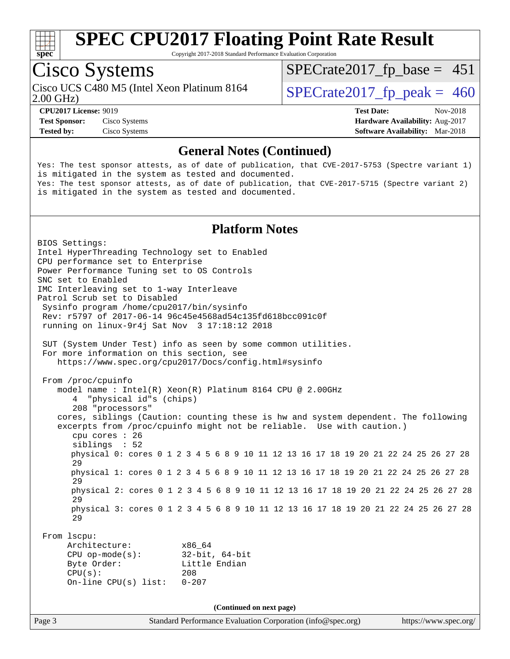

Copyright 2017-2018 Standard Performance Evaluation Corporation

## Cisco Systems

Cisco UCS C480 M5 (Intel Xeon Platinum 8164  $\vert$  [SPECrate2017\\_fp\\_peak =](http://www.spec.org/auto/cpu2017/Docs/result-fields.html#SPECrate2017fppeak) 460

 $SPECTate2017_fp\_base = 451$ 

2.00 GHz)

**[Tested by:](http://www.spec.org/auto/cpu2017/Docs/result-fields.html#Testedby)** Cisco Systems **[Software Availability:](http://www.spec.org/auto/cpu2017/Docs/result-fields.html#SoftwareAvailability)** Mar-2018

**[CPU2017 License:](http://www.spec.org/auto/cpu2017/Docs/result-fields.html#CPU2017License)** 9019 **[Test Date:](http://www.spec.org/auto/cpu2017/Docs/result-fields.html#TestDate)** Nov-2018 **[Test Sponsor:](http://www.spec.org/auto/cpu2017/Docs/result-fields.html#TestSponsor)** Cisco Systems **[Hardware Availability:](http://www.spec.org/auto/cpu2017/Docs/result-fields.html#HardwareAvailability)** Aug-2017

### **[General Notes \(Continued\)](http://www.spec.org/auto/cpu2017/Docs/result-fields.html#GeneralNotes)**

Yes: The test sponsor attests, as of date of publication, that CVE-2017-5753 (Spectre variant 1) is mitigated in the system as tested and documented. Yes: The test sponsor attests, as of date of publication, that CVE-2017-5715 (Spectre variant 2) is mitigated in the system as tested and documented.

### **[Platform Notes](http://www.spec.org/auto/cpu2017/Docs/result-fields.html#PlatformNotes)**

Page 3 Standard Performance Evaluation Corporation [\(info@spec.org\)](mailto:info@spec.org) <https://www.spec.org/> BIOS Settings: Intel HyperThreading Technology set to Enabled CPU performance set to Enterprise Power Performance Tuning set to OS Controls SNC set to Enabled IMC Interleaving set to 1-way Interleave Patrol Scrub set to Disabled Sysinfo program /home/cpu2017/bin/sysinfo Rev: r5797 of 2017-06-14 96c45e4568ad54c135fd618bcc091c0f running on linux-9r4j Sat Nov 3 17:18:12 2018 SUT (System Under Test) info as seen by some common utilities. For more information on this section, see <https://www.spec.org/cpu2017/Docs/config.html#sysinfo> From /proc/cpuinfo model name : Intel(R) Xeon(R) Platinum 8164 CPU @ 2.00GHz 4 "physical id"s (chips) 208 "processors" cores, siblings (Caution: counting these is hw and system dependent. The following excerpts from /proc/cpuinfo might not be reliable. Use with caution.) cpu cores : 26 siblings : 52 physical 0: cores 0 1 2 3 4 5 6 8 9 10 11 12 13 16 17 18 19 20 21 22 24 25 26 27 28 29 physical 1: cores 0 1 2 3 4 5 6 8 9 10 11 12 13 16 17 18 19 20 21 22 24 25 26 27 28 29 physical 2: cores 0 1 2 3 4 5 6 8 9 10 11 12 13 16 17 18 19 20 21 22 24 25 26 27 28  $29$  physical 3: cores 0 1 2 3 4 5 6 8 9 10 11 12 13 16 17 18 19 20 21 22 24 25 26 27 28 29 From lscpu: Architecture: x86\_64 CPU op-mode(s): 32-bit, 64-bit Byte Order: Little Endian CPU(s): 208 On-line CPU(s) list: 0-207 **(Continued on next page)**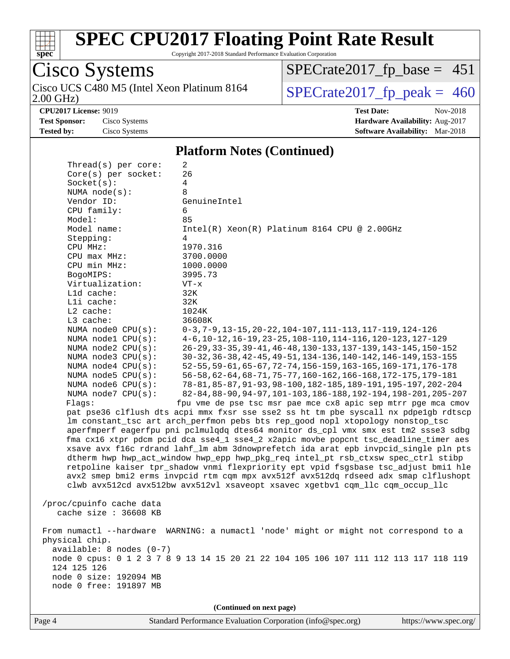

Copyright 2017-2018 Standard Performance Evaluation Corporation

# Cisco Systems

2.00 GHz) Cisco UCS C480 M5 (Intel Xeon Platinum 8164  $SPECrate2017_fp\_peak = 460$ 

[SPECrate2017\\_fp\\_base =](http://www.spec.org/auto/cpu2017/Docs/result-fields.html#SPECrate2017fpbase) 451

**[CPU2017 License:](http://www.spec.org/auto/cpu2017/Docs/result-fields.html#CPU2017License)** 9019 **[Test Date:](http://www.spec.org/auto/cpu2017/Docs/result-fields.html#TestDate)** Nov-2018 **[Test Sponsor:](http://www.spec.org/auto/cpu2017/Docs/result-fields.html#TestSponsor)** Cisco Systems **[Hardware Availability:](http://www.spec.org/auto/cpu2017/Docs/result-fields.html#HardwareAvailability)** Aug-2017 **[Tested by:](http://www.spec.org/auto/cpu2017/Docs/result-fields.html#Testedby)** Cisco Systems **[Software Availability:](http://www.spec.org/auto/cpu2017/Docs/result-fields.html#SoftwareAvailability)** Mar-2018

#### **[Platform Notes \(Continued\)](http://www.spec.org/auto/cpu2017/Docs/result-fields.html#PlatformNotes)**

| Thread(s) per core:                                                                  | 2                                                                                    |  |  |  |  |  |  |
|--------------------------------------------------------------------------------------|--------------------------------------------------------------------------------------|--|--|--|--|--|--|
| Core(s) per socket:                                                                  | 26                                                                                   |  |  |  |  |  |  |
| Socket(s):                                                                           | 4                                                                                    |  |  |  |  |  |  |
| NUMA $node(s)$ :                                                                     | 8                                                                                    |  |  |  |  |  |  |
| Vendor ID:                                                                           | GenuineIntel                                                                         |  |  |  |  |  |  |
| CPU family:                                                                          | 6                                                                                    |  |  |  |  |  |  |
| Model:                                                                               | 85                                                                                   |  |  |  |  |  |  |
| Model name:                                                                          | $Intel(R) Xeon(R) Platinum 8164 CPU @ 2.00GHz$                                       |  |  |  |  |  |  |
| Stepping:                                                                            | 4                                                                                    |  |  |  |  |  |  |
| CPU MHz:                                                                             | 1970.316                                                                             |  |  |  |  |  |  |
| $CPU$ max $MHz$ :                                                                    | 3700.0000                                                                            |  |  |  |  |  |  |
| CPU min MHz:                                                                         | 1000.0000                                                                            |  |  |  |  |  |  |
| BogoMIPS:                                                                            | 3995.73                                                                              |  |  |  |  |  |  |
| Virtualization:                                                                      | $VT - x$                                                                             |  |  |  |  |  |  |
| L1d cache:                                                                           | 32K                                                                                  |  |  |  |  |  |  |
| Lli cache:                                                                           | 32K                                                                                  |  |  |  |  |  |  |
| $L2$ cache:                                                                          | 1024K                                                                                |  |  |  |  |  |  |
| L3 cache:                                                                            | 36608K                                                                               |  |  |  |  |  |  |
| NUMA node0 CPU(s):                                                                   | $0-3, 7-9, 13-15, 20-22, 104-107, 111-113, 117-119, 124-126$                         |  |  |  |  |  |  |
| NUMA nodel CPU(s):                                                                   | 4-6, 10-12, 16-19, 23-25, 108-110, 114-116, 120-123, 127-129                         |  |  |  |  |  |  |
| NUMA node2 CPU(s):                                                                   | 26-29, 33-35, 39-41, 46-48, 130-133, 137-139, 143-145, 150-152                       |  |  |  |  |  |  |
| NUMA node3 CPU(s):                                                                   | 30-32, 36-38, 42-45, 49-51, 134-136, 140-142, 146-149, 153-155                       |  |  |  |  |  |  |
| NUMA $node4$ $CPU(s):$                                                               | 52-55, 59-61, 65-67, 72-74, 156-159, 163-165, 169-171, 176-178                       |  |  |  |  |  |  |
| NUMA $node5$ $CPU(s)$ :                                                              | 56-58, 62-64, 68-71, 75-77, 160-162, 166-168, 172-175, 179-181                       |  |  |  |  |  |  |
| NUMA node6 CPU(s):                                                                   | 78-81, 85-87, 91-93, 98-100, 182-185, 189-191, 195-197, 202-204                      |  |  |  |  |  |  |
| NUMA $node7$ CPU $(s)$ :                                                             | 82-84, 88-90, 94-97, 101-103, 186-188, 192-194, 198-201, 205-207                     |  |  |  |  |  |  |
| Flags:                                                                               | fpu vme de pse tsc msr pae mce cx8 apic sep mtrr pge mca cmov                        |  |  |  |  |  |  |
|                                                                                      | pat pse36 clflush dts acpi mmx fxsr sse sse2 ss ht tm pbe syscall nx pdpelgb rdtscp  |  |  |  |  |  |  |
|                                                                                      | lm constant_tsc art arch_perfmon pebs bts rep_good nopl xtopology nonstop_tsc        |  |  |  |  |  |  |
|                                                                                      | aperfmperf eagerfpu pni pclmulqdq dtes64 monitor ds_cpl vmx smx est tm2 ssse3 sdbg   |  |  |  |  |  |  |
|                                                                                      | fma cx16 xtpr pdcm pcid dca sse4_1 sse4_2 x2apic movbe popcnt tsc_deadline_timer aes |  |  |  |  |  |  |
|                                                                                      | xsave avx f16c rdrand lahf_lm abm 3dnowprefetch ida arat epb invpcid_single pln pts  |  |  |  |  |  |  |
| dtherm hwp hwp_act_window hwp_epp hwp_pkg_req intel_pt rsb_ctxsw spec_ctrl stibp     |                                                                                      |  |  |  |  |  |  |
|                                                                                      | retpoline kaiser tpr_shadow vnmi flexpriority ept vpid fsgsbase tsc_adjust bmil hle  |  |  |  |  |  |  |
|                                                                                      | avx2 smep bmi2 erms invpcid rtm cqm mpx avx512f avx512dq rdseed adx smap clflushopt  |  |  |  |  |  |  |
|                                                                                      | clwb avx512cd avx512bw avx512vl xsaveopt xsavec xgetbvl cqm_llc cqm_occup_llc        |  |  |  |  |  |  |
|                                                                                      |                                                                                      |  |  |  |  |  |  |
| /proc/cpuinfo cache data                                                             |                                                                                      |  |  |  |  |  |  |
| cache size : 36608 KB                                                                |                                                                                      |  |  |  |  |  |  |
|                                                                                      |                                                                                      |  |  |  |  |  |  |
| From numactl --hardware                                                              | WARNING: a numactl 'node' might or might not correspond to a                         |  |  |  |  |  |  |
| physical chip.                                                                       |                                                                                      |  |  |  |  |  |  |
| available: 8 nodes (0-7)                                                             |                                                                                      |  |  |  |  |  |  |
| node 0 cpus: 0 1 2 3 7 8 9 13 14 15 20 21 22 104 105 106 107 111 112 113 117 118 119 |                                                                                      |  |  |  |  |  |  |
| 124 125 126                                                                          |                                                                                      |  |  |  |  |  |  |
| node 0 size: 192094 MB                                                               |                                                                                      |  |  |  |  |  |  |
| node 0 free: 191897 MB                                                               |                                                                                      |  |  |  |  |  |  |
|                                                                                      |                                                                                      |  |  |  |  |  |  |
| (Continued on next page)                                                             |                                                                                      |  |  |  |  |  |  |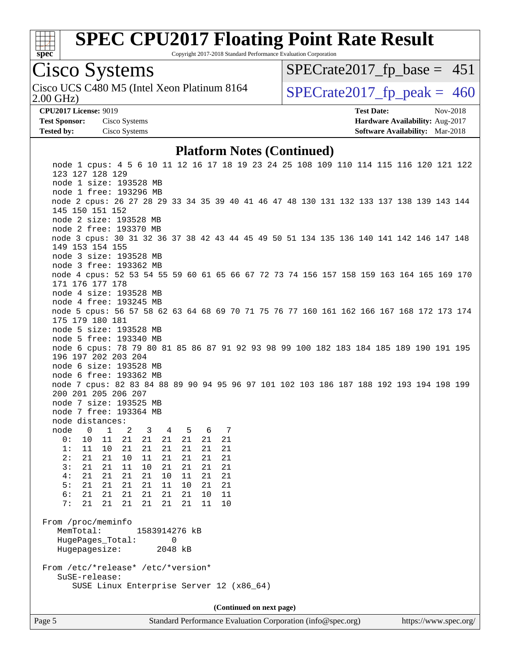

Copyright 2017-2018 Standard Performance Evaluation Corporation

## Cisco Systems

2.00 GHz) Cisco UCS C480 M5 (Intel Xeon Platinum 8164  $\vert$  [SPECrate2017\\_fp\\_peak =](http://www.spec.org/auto/cpu2017/Docs/result-fields.html#SPECrate2017fppeak) 460

 $SPECTate2017_fp\_base = 451$ 

**[Test Sponsor:](http://www.spec.org/auto/cpu2017/Docs/result-fields.html#TestSponsor)** Cisco Systems **[Hardware Availability:](http://www.spec.org/auto/cpu2017/Docs/result-fields.html#HardwareAvailability)** Aug-2017

**[CPU2017 License:](http://www.spec.org/auto/cpu2017/Docs/result-fields.html#CPU2017License)** 9019 **[Test Date:](http://www.spec.org/auto/cpu2017/Docs/result-fields.html#TestDate)** Nov-2018 **[Tested by:](http://www.spec.org/auto/cpu2017/Docs/result-fields.html#Testedby)** Cisco Systems **[Software Availability:](http://www.spec.org/auto/cpu2017/Docs/result-fields.html#SoftwareAvailability)** Mar-2018

#### **[Platform Notes \(Continued\)](http://www.spec.org/auto/cpu2017/Docs/result-fields.html#PlatformNotes)**

Page 5 Standard Performance Evaluation Corporation [\(info@spec.org\)](mailto:info@spec.org) <https://www.spec.org/>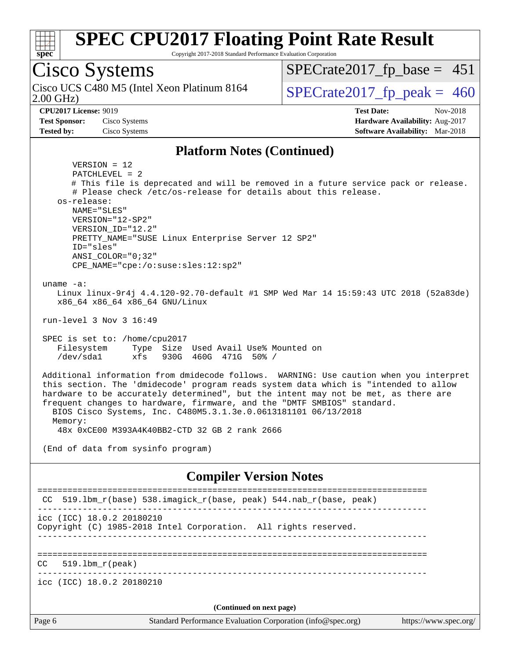

Copyright 2017-2018 Standard Performance Evaluation Corporation

## Cisco Systems

2.00 GHz) Cisco UCS C480 M5 (Intel Xeon Platinum 8164  $\vert$  [SPECrate2017\\_fp\\_peak =](http://www.spec.org/auto/cpu2017/Docs/result-fields.html#SPECrate2017fppeak) 460

 $SPECTate2017_fp\_base = 451$ 

**[Tested by:](http://www.spec.org/auto/cpu2017/Docs/result-fields.html#Testedby)** Cisco Systems **[Software Availability:](http://www.spec.org/auto/cpu2017/Docs/result-fields.html#SoftwareAvailability)** Mar-2018

**[CPU2017 License:](http://www.spec.org/auto/cpu2017/Docs/result-fields.html#CPU2017License)** 9019 **[Test Date:](http://www.spec.org/auto/cpu2017/Docs/result-fields.html#TestDate)** Nov-2018 **[Test Sponsor:](http://www.spec.org/auto/cpu2017/Docs/result-fields.html#TestSponsor)** Cisco Systems **[Hardware Availability:](http://www.spec.org/auto/cpu2017/Docs/result-fields.html#HardwareAvailability)** Aug-2017

#### **[Platform Notes \(Continued\)](http://www.spec.org/auto/cpu2017/Docs/result-fields.html#PlatformNotes)**

 VERSION = 12 PATCHLEVEL = 2 # This file is deprecated and will be removed in a future service pack or release. # Please check /etc/os-release for details about this release. os-release: NAME="SLES" VERSION="12-SP2" VERSION\_ID="12.2" PRETTY\_NAME="SUSE Linux Enterprise Server 12 SP2" ID="sles" ANSI\_COLOR="0;32" CPE\_NAME="cpe:/o:suse:sles:12:sp2" uname -a: Linux linux-9r4j 4.4.120-92.70-default #1 SMP Wed Mar 14 15:59:43 UTC 2018 (52a83de) x86\_64 x86\_64 x86\_64 GNU/Linux run-level 3 Nov 3 16:49 SPEC is set to: /home/cpu2017 Filesystem Type Size Used Avail Use% Mounted on /dev/sda1 xfs 930G 460G 471G 50% / Additional information from dmidecode follows. WARNING: Use caution when you interpret this section. The 'dmidecode' program reads system data which is "intended to allow hardware to be accurately determined", but the intent may not be met, as there are frequent changes to hardware, firmware, and the "DMTF SMBIOS" standard. BIOS Cisco Systems, Inc. C480M5.3.1.3e.0.0613181101 06/13/2018 Memory: 48x 0xCE00 M393A4K40BB2-CTD 32 GB 2 rank 2666 (End of data from sysinfo program) **[Compiler Version Notes](http://www.spec.org/auto/cpu2017/Docs/result-fields.html#CompilerVersionNotes)** ============================================================================== CC 519.1bm  $r(base)$  538.imagick  $r(base, peak)$  544.nab  $r(base, peak)$ ----------------------------------------------------------------------------- icc (ICC) 18.0.2 20180210 Copyright (C) 1985-2018 Intel Corporation. All rights reserved. ------------------------------------------------------------------------------ ============================================================================== CC 519.lbm\_r(peak) ----------------------------------------------------------------------------- icc (ICC) 18.0.2 20180210

**(Continued on next page)**

Page 6 Standard Performance Evaluation Corporation [\(info@spec.org\)](mailto:info@spec.org) <https://www.spec.org/>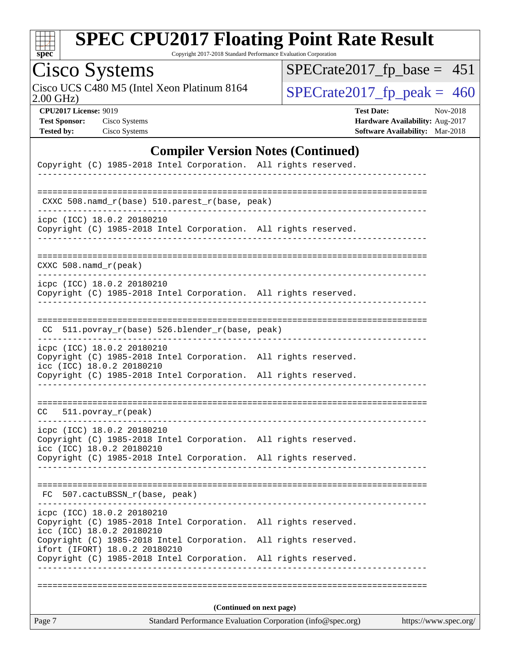

Copyright 2017-2018 Standard Performance Evaluation Corporation

# Cisco Systems<br>Cisco UCS C480 M5 (Intel Xeon Platinum 8164

2.00 GHz)

[SPECrate2017\\_fp\\_base =](http://www.spec.org/auto/cpu2017/Docs/result-fields.html#SPECrate2017fpbase) 451

 $SPECTate 2017_fp\_peak = 460$ 

**[CPU2017 License:](http://www.spec.org/auto/cpu2017/Docs/result-fields.html#CPU2017License)** 9019

**[Test Sponsor:](http://www.spec.org/auto/cpu2017/Docs/result-fields.html#TestSponsor)** Cisco Systems **[Tested by:](http://www.spec.org/auto/cpu2017/Docs/result-fields.html#Testedby)** Cisco Systems

| <b>Test Date:</b>                      | Nov-2018 |
|----------------------------------------|----------|
| <b>Hardware Availability: Aug-2017</b> |          |
| <b>Software Availability:</b> Mar-2018 |          |

### **[Compiler Version Notes \(Continued\)](http://www.spec.org/auto/cpu2017/Docs/result-fields.html#CompilerVersionNotes)**

| Page 7                                                                                                                                                                                        | Standard Performance Evaluation Corporation (info@spec.org) | https://www.spec.org/ |  |  |  |  |  |
|-----------------------------------------------------------------------------------------------------------------------------------------------------------------------------------------------|-------------------------------------------------------------|-----------------------|--|--|--|--|--|
| (Continued on next page)                                                                                                                                                                      |                                                             |                       |  |  |  |  |  |
|                                                                                                                                                                                               |                                                             |                       |  |  |  |  |  |
| ifort (IFORT) 18.0.2 20180210<br>Copyright (C) 1985-2018 Intel Corporation. All rights reserved.<br>------------                                                                              |                                                             |                       |  |  |  |  |  |
| icc (ICC) 18.0.2 20180210<br>Copyright (C) 1985-2018 Intel Corporation. All rights reserved.                                                                                                  |                                                             |                       |  |  |  |  |  |
| icpc (ICC) 18.0.2 20180210<br>Copyright (C) 1985-2018 Intel Corporation. All rights reserved.                                                                                                 |                                                             |                       |  |  |  |  |  |
| FC 507.cactuBSSN_r(base, peak)                                                                                                                                                                |                                                             |                       |  |  |  |  |  |
|                                                                                                                                                                                               |                                                             |                       |  |  |  |  |  |
| icpc (ICC) 18.0.2 20180210<br>Copyright (C) 1985-2018 Intel Corporation. All rights reserved.<br>icc (ICC) 18.0.2 20180210<br>Copyright (C) 1985-2018 Intel Corporation. All rights reserved. |                                                             |                       |  |  |  |  |  |
| $CC = 511. povray_r (peak)$                                                                                                                                                                   |                                                             |                       |  |  |  |  |  |
|                                                                                                                                                                                               |                                                             |                       |  |  |  |  |  |
| icc (ICC) 18.0.2 20180210<br>Copyright (C) 1985-2018 Intel Corporation. All rights reserved.                                                                                                  |                                                             |                       |  |  |  |  |  |
| icpc (ICC) 18.0.2 20180210<br>Copyright (C) 1985-2018 Intel Corporation. All rights reserved.                                                                                                 |                                                             |                       |  |  |  |  |  |
| CC 511.povray_r(base) 526.blender_r(base, peak)                                                                                                                                               |                                                             |                       |  |  |  |  |  |
| icpc (ICC) 18.0.2 20180210<br>Copyright (C) 1985-2018 Intel Corporation. All rights reserved.                                                                                                 |                                                             |                       |  |  |  |  |  |
| $CXXC 508.namd_r (peak)$                                                                                                                                                                      |                                                             |                       |  |  |  |  |  |
| ______________________________                                                                                                                                                                |                                                             |                       |  |  |  |  |  |
| ----------------------------<br>icpc (ICC) 18.0.2 20180210<br>Copyright (C) 1985-2018 Intel Corporation. All rights reserved.                                                                 |                                                             |                       |  |  |  |  |  |
| CXXC 508.namd_r(base) 510.parest_r(base, peak)                                                                                                                                                |                                                             |                       |  |  |  |  |  |
|                                                                                                                                                                                               |                                                             |                       |  |  |  |  |  |
| Copyright (C) 1985-2018 Intel Corporation. All rights reserved.                                                                                                                               |                                                             |                       |  |  |  |  |  |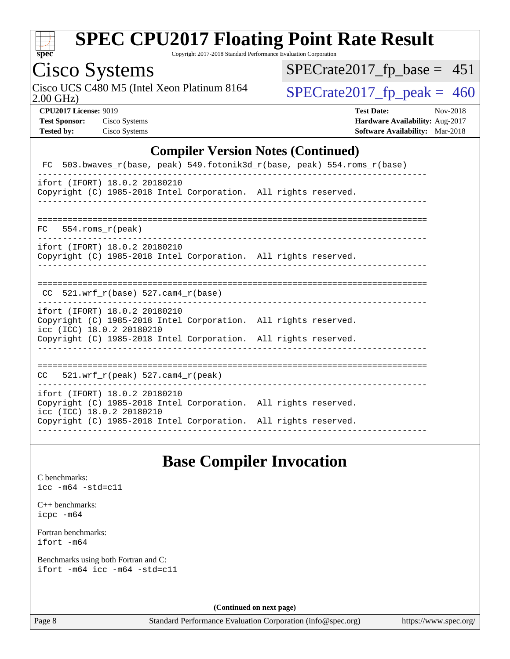

Copyright 2017-2018 Standard Performance Evaluation Corporation

# Cisco Systems<br>Cisco UCS C480 M5 (Intel Xeon Platinum 8164

[SPECrate2017\\_fp\\_base =](http://www.spec.org/auto/cpu2017/Docs/result-fields.html#SPECrate2017fpbase) 451

2.00 GHz)

 $SPECTate 2017_fp\_peak = 460$ 

**[Tested by:](http://www.spec.org/auto/cpu2017/Docs/result-fields.html#Testedby)** Cisco Systems **[Software Availability:](http://www.spec.org/auto/cpu2017/Docs/result-fields.html#SoftwareAvailability)** Mar-2018

**[CPU2017 License:](http://www.spec.org/auto/cpu2017/Docs/result-fields.html#CPU2017License)** 9019 **[Test Date:](http://www.spec.org/auto/cpu2017/Docs/result-fields.html#TestDate)** Nov-2018 **[Test Sponsor:](http://www.spec.org/auto/cpu2017/Docs/result-fields.html#TestSponsor)** Cisco Systems **[Hardware Availability:](http://www.spec.org/auto/cpu2017/Docs/result-fields.html#HardwareAvailability)** Aug-2017

### **[Compiler Version Notes \(Continued\)](http://www.spec.org/auto/cpu2017/Docs/result-fields.html#CompilerVersionNotes)**

|                                                            | FC 503.bwaves_r(base, peak) 549.fotonik3d_r(base, peak) 554.roms_r(base)                                                           |
|------------------------------------------------------------|------------------------------------------------------------------------------------------------------------------------------------|
| ifort (IFORT) 18.0.2 20180210                              | Copyright (C) 1985-2018 Intel Corporation. All rights reserved.                                                                    |
| $FC$ 554. roms $r$ (peak)                                  |                                                                                                                                    |
| ifort (IFORT) 18.0.2 20180210                              | Copyright (C) 1985-2018 Intel Corporation. All rights reserved.                                                                    |
| CC $521.$ wrf r(base) 527.cam4 r(base)                     |                                                                                                                                    |
| ifort (IFORT) 18.0.2 20180210<br>icc (ICC) 18.0.2 20180210 | Copyright (C) 1985-2018 Intel Corporation. All rights reserved.<br>Copyright (C) 1985-2018 Intel Corporation. All rights reserved. |
| $CC = 521$ .wrf $r(\text{peak})$ 527.cam4 $r(\text{peak})$ |                                                                                                                                    |
| ifort (IFORT) 18.0.2 20180210<br>icc (ICC) 18.0.2 20180210 | Copyright (C) 1985-2018 Intel Corporation. All rights reserved.<br>Copyright (C) 1985-2018 Intel Corporation. All rights reserved. |

## **[Base Compiler Invocation](http://www.spec.org/auto/cpu2017/Docs/result-fields.html#BaseCompilerInvocation)**

[C benchmarks](http://www.spec.org/auto/cpu2017/Docs/result-fields.html#Cbenchmarks): [icc -m64 -std=c11](http://www.spec.org/cpu2017/results/res2018q4/cpu2017-20181113-09733.flags.html#user_CCbase_intel_icc_64bit_c11_33ee0cdaae7deeeab2a9725423ba97205ce30f63b9926c2519791662299b76a0318f32ddfffdc46587804de3178b4f9328c46fa7c2b0cd779d7a61945c91cd35)

[C++ benchmarks:](http://www.spec.org/auto/cpu2017/Docs/result-fields.html#CXXbenchmarks) [icpc -m64](http://www.spec.org/cpu2017/results/res2018q4/cpu2017-20181113-09733.flags.html#user_CXXbase_intel_icpc_64bit_4ecb2543ae3f1412ef961e0650ca070fec7b7afdcd6ed48761b84423119d1bf6bdf5cad15b44d48e7256388bc77273b966e5eb805aefd121eb22e9299b2ec9d9)

[Fortran benchmarks](http://www.spec.org/auto/cpu2017/Docs/result-fields.html#Fortranbenchmarks): [ifort -m64](http://www.spec.org/cpu2017/results/res2018q4/cpu2017-20181113-09733.flags.html#user_FCbase_intel_ifort_64bit_24f2bb282fbaeffd6157abe4f878425411749daecae9a33200eee2bee2fe76f3b89351d69a8130dd5949958ce389cf37ff59a95e7a40d588e8d3a57e0c3fd751)

[Benchmarks using both Fortran and C](http://www.spec.org/auto/cpu2017/Docs/result-fields.html#BenchmarksusingbothFortranandC): [ifort -m64](http://www.spec.org/cpu2017/results/res2018q4/cpu2017-20181113-09733.flags.html#user_CC_FCbase_intel_ifort_64bit_24f2bb282fbaeffd6157abe4f878425411749daecae9a33200eee2bee2fe76f3b89351d69a8130dd5949958ce389cf37ff59a95e7a40d588e8d3a57e0c3fd751) [icc -m64 -std=c11](http://www.spec.org/cpu2017/results/res2018q4/cpu2017-20181113-09733.flags.html#user_CC_FCbase_intel_icc_64bit_c11_33ee0cdaae7deeeab2a9725423ba97205ce30f63b9926c2519791662299b76a0318f32ddfffdc46587804de3178b4f9328c46fa7c2b0cd779d7a61945c91cd35)

**(Continued on next page)**

Page 8 Standard Performance Evaluation Corporation [\(info@spec.org\)](mailto:info@spec.org) <https://www.spec.org/>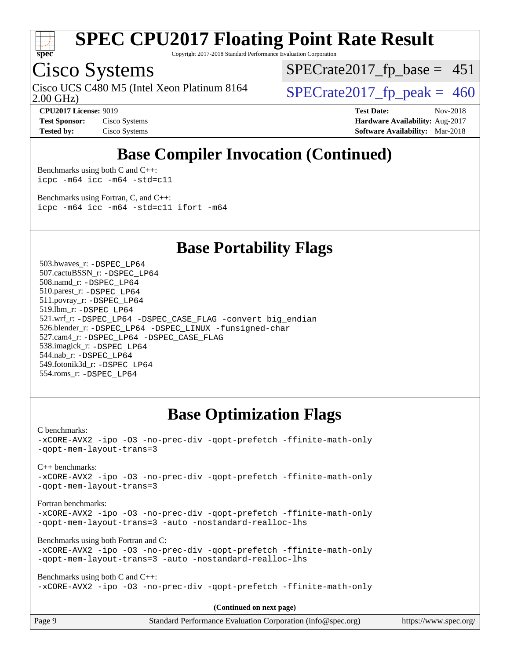

Copyright 2017-2018 Standard Performance Evaluation Corporation

## Cisco Systems

Cisco UCS C480 M5 (Intel Xeon Platinum 8164  $\vert$  [SPECrate2017\\_fp\\_peak =](http://www.spec.org/auto/cpu2017/Docs/result-fields.html#SPECrate2017fppeak) 460

 $SPECTate2017_fp\_base = 451$ 

2.00 GHz)

**[CPU2017 License:](http://www.spec.org/auto/cpu2017/Docs/result-fields.html#CPU2017License)** 9019 **[Test Date:](http://www.spec.org/auto/cpu2017/Docs/result-fields.html#TestDate)** Nov-2018 **[Test Sponsor:](http://www.spec.org/auto/cpu2017/Docs/result-fields.html#TestSponsor)** Cisco Systems **Cisco Systems [Hardware Availability:](http://www.spec.org/auto/cpu2017/Docs/result-fields.html#HardwareAvailability)** Aug-2017 **[Tested by:](http://www.spec.org/auto/cpu2017/Docs/result-fields.html#Testedby)** Cisco Systems **[Software Availability:](http://www.spec.org/auto/cpu2017/Docs/result-fields.html#SoftwareAvailability)** Mar-2018

## **[Base Compiler Invocation \(Continued\)](http://www.spec.org/auto/cpu2017/Docs/result-fields.html#BaseCompilerInvocation)**

[Benchmarks using both C and C++](http://www.spec.org/auto/cpu2017/Docs/result-fields.html#BenchmarksusingbothCandCXX): [icpc -m64](http://www.spec.org/cpu2017/results/res2018q4/cpu2017-20181113-09733.flags.html#user_CC_CXXbase_intel_icpc_64bit_4ecb2543ae3f1412ef961e0650ca070fec7b7afdcd6ed48761b84423119d1bf6bdf5cad15b44d48e7256388bc77273b966e5eb805aefd121eb22e9299b2ec9d9) [icc -m64 -std=c11](http://www.spec.org/cpu2017/results/res2018q4/cpu2017-20181113-09733.flags.html#user_CC_CXXbase_intel_icc_64bit_c11_33ee0cdaae7deeeab2a9725423ba97205ce30f63b9926c2519791662299b76a0318f32ddfffdc46587804de3178b4f9328c46fa7c2b0cd779d7a61945c91cd35)

[Benchmarks using Fortran, C, and C++:](http://www.spec.org/auto/cpu2017/Docs/result-fields.html#BenchmarksusingFortranCandCXX) [icpc -m64](http://www.spec.org/cpu2017/results/res2018q4/cpu2017-20181113-09733.flags.html#user_CC_CXX_FCbase_intel_icpc_64bit_4ecb2543ae3f1412ef961e0650ca070fec7b7afdcd6ed48761b84423119d1bf6bdf5cad15b44d48e7256388bc77273b966e5eb805aefd121eb22e9299b2ec9d9) [icc -m64 -std=c11](http://www.spec.org/cpu2017/results/res2018q4/cpu2017-20181113-09733.flags.html#user_CC_CXX_FCbase_intel_icc_64bit_c11_33ee0cdaae7deeeab2a9725423ba97205ce30f63b9926c2519791662299b76a0318f32ddfffdc46587804de3178b4f9328c46fa7c2b0cd779d7a61945c91cd35) [ifort -m64](http://www.spec.org/cpu2017/results/res2018q4/cpu2017-20181113-09733.flags.html#user_CC_CXX_FCbase_intel_ifort_64bit_24f2bb282fbaeffd6157abe4f878425411749daecae9a33200eee2bee2fe76f3b89351d69a8130dd5949958ce389cf37ff59a95e7a40d588e8d3a57e0c3fd751)

### **[Base Portability Flags](http://www.spec.org/auto/cpu2017/Docs/result-fields.html#BasePortabilityFlags)**

 503.bwaves\_r: [-DSPEC\\_LP64](http://www.spec.org/cpu2017/results/res2018q4/cpu2017-20181113-09733.flags.html#suite_basePORTABILITY503_bwaves_r_DSPEC_LP64) 507.cactuBSSN\_r: [-DSPEC\\_LP64](http://www.spec.org/cpu2017/results/res2018q4/cpu2017-20181113-09733.flags.html#suite_basePORTABILITY507_cactuBSSN_r_DSPEC_LP64) 508.namd\_r: [-DSPEC\\_LP64](http://www.spec.org/cpu2017/results/res2018q4/cpu2017-20181113-09733.flags.html#suite_basePORTABILITY508_namd_r_DSPEC_LP64) 510.parest\_r: [-DSPEC\\_LP64](http://www.spec.org/cpu2017/results/res2018q4/cpu2017-20181113-09733.flags.html#suite_basePORTABILITY510_parest_r_DSPEC_LP64) 511.povray\_r: [-DSPEC\\_LP64](http://www.spec.org/cpu2017/results/res2018q4/cpu2017-20181113-09733.flags.html#suite_basePORTABILITY511_povray_r_DSPEC_LP64) 519.lbm\_r: [-DSPEC\\_LP64](http://www.spec.org/cpu2017/results/res2018q4/cpu2017-20181113-09733.flags.html#suite_basePORTABILITY519_lbm_r_DSPEC_LP64) 521.wrf\_r: [-DSPEC\\_LP64](http://www.spec.org/cpu2017/results/res2018q4/cpu2017-20181113-09733.flags.html#suite_basePORTABILITY521_wrf_r_DSPEC_LP64) [-DSPEC\\_CASE\\_FLAG](http://www.spec.org/cpu2017/results/res2018q4/cpu2017-20181113-09733.flags.html#b521.wrf_r_baseCPORTABILITY_DSPEC_CASE_FLAG) [-convert big\\_endian](http://www.spec.org/cpu2017/results/res2018q4/cpu2017-20181113-09733.flags.html#user_baseFPORTABILITY521_wrf_r_convert_big_endian_c3194028bc08c63ac5d04de18c48ce6d347e4e562e8892b8bdbdc0214820426deb8554edfa529a3fb25a586e65a3d812c835984020483e7e73212c4d31a38223) 526.blender\_r: [-DSPEC\\_LP64](http://www.spec.org/cpu2017/results/res2018q4/cpu2017-20181113-09733.flags.html#suite_basePORTABILITY526_blender_r_DSPEC_LP64) [-DSPEC\\_LINUX](http://www.spec.org/cpu2017/results/res2018q4/cpu2017-20181113-09733.flags.html#b526.blender_r_baseCPORTABILITY_DSPEC_LINUX) [-funsigned-char](http://www.spec.org/cpu2017/results/res2018q4/cpu2017-20181113-09733.flags.html#user_baseCPORTABILITY526_blender_r_force_uchar_40c60f00ab013830e2dd6774aeded3ff59883ba5a1fc5fc14077f794d777847726e2a5858cbc7672e36e1b067e7e5c1d9a74f7176df07886a243d7cc18edfe67) 527.cam4\_r: [-DSPEC\\_LP64](http://www.spec.org/cpu2017/results/res2018q4/cpu2017-20181113-09733.flags.html#suite_basePORTABILITY527_cam4_r_DSPEC_LP64) [-DSPEC\\_CASE\\_FLAG](http://www.spec.org/cpu2017/results/res2018q4/cpu2017-20181113-09733.flags.html#b527.cam4_r_baseCPORTABILITY_DSPEC_CASE_FLAG) 538.imagick\_r: [-DSPEC\\_LP64](http://www.spec.org/cpu2017/results/res2018q4/cpu2017-20181113-09733.flags.html#suite_basePORTABILITY538_imagick_r_DSPEC_LP64) 544.nab\_r: [-DSPEC\\_LP64](http://www.spec.org/cpu2017/results/res2018q4/cpu2017-20181113-09733.flags.html#suite_basePORTABILITY544_nab_r_DSPEC_LP64) 549.fotonik3d\_r: [-DSPEC\\_LP64](http://www.spec.org/cpu2017/results/res2018q4/cpu2017-20181113-09733.flags.html#suite_basePORTABILITY549_fotonik3d_r_DSPEC_LP64) 554.roms\_r: [-DSPEC\\_LP64](http://www.spec.org/cpu2017/results/res2018q4/cpu2017-20181113-09733.flags.html#suite_basePORTABILITY554_roms_r_DSPEC_LP64)

### **[Base Optimization Flags](http://www.spec.org/auto/cpu2017/Docs/result-fields.html#BaseOptimizationFlags)**

[C benchmarks](http://www.spec.org/auto/cpu2017/Docs/result-fields.html#Cbenchmarks):

[-xCORE-AVX2](http://www.spec.org/cpu2017/results/res2018q4/cpu2017-20181113-09733.flags.html#user_CCbase_f-xCORE-AVX2) [-ipo](http://www.spec.org/cpu2017/results/res2018q4/cpu2017-20181113-09733.flags.html#user_CCbase_f-ipo) [-O3](http://www.spec.org/cpu2017/results/res2018q4/cpu2017-20181113-09733.flags.html#user_CCbase_f-O3) [-no-prec-div](http://www.spec.org/cpu2017/results/res2018q4/cpu2017-20181113-09733.flags.html#user_CCbase_f-no-prec-div) [-qopt-prefetch](http://www.spec.org/cpu2017/results/res2018q4/cpu2017-20181113-09733.flags.html#user_CCbase_f-qopt-prefetch) [-ffinite-math-only](http://www.spec.org/cpu2017/results/res2018q4/cpu2017-20181113-09733.flags.html#user_CCbase_f_finite_math_only_cb91587bd2077682c4b38af759c288ed7c732db004271a9512da14a4f8007909a5f1427ecbf1a0fb78ff2a814402c6114ac565ca162485bbcae155b5e4258871) [-qopt-mem-layout-trans=3](http://www.spec.org/cpu2017/results/res2018q4/cpu2017-20181113-09733.flags.html#user_CCbase_f-qopt-mem-layout-trans_de80db37974c74b1f0e20d883f0b675c88c3b01e9d123adea9b28688d64333345fb62bc4a798493513fdb68f60282f9a726aa07f478b2f7113531aecce732043)

[C++ benchmarks:](http://www.spec.org/auto/cpu2017/Docs/result-fields.html#CXXbenchmarks)

[-xCORE-AVX2](http://www.spec.org/cpu2017/results/res2018q4/cpu2017-20181113-09733.flags.html#user_CXXbase_f-xCORE-AVX2) [-ipo](http://www.spec.org/cpu2017/results/res2018q4/cpu2017-20181113-09733.flags.html#user_CXXbase_f-ipo) [-O3](http://www.spec.org/cpu2017/results/res2018q4/cpu2017-20181113-09733.flags.html#user_CXXbase_f-O3) [-no-prec-div](http://www.spec.org/cpu2017/results/res2018q4/cpu2017-20181113-09733.flags.html#user_CXXbase_f-no-prec-div) [-qopt-prefetch](http://www.spec.org/cpu2017/results/res2018q4/cpu2017-20181113-09733.flags.html#user_CXXbase_f-qopt-prefetch) [-ffinite-math-only](http://www.spec.org/cpu2017/results/res2018q4/cpu2017-20181113-09733.flags.html#user_CXXbase_f_finite_math_only_cb91587bd2077682c4b38af759c288ed7c732db004271a9512da14a4f8007909a5f1427ecbf1a0fb78ff2a814402c6114ac565ca162485bbcae155b5e4258871) [-qopt-mem-layout-trans=3](http://www.spec.org/cpu2017/results/res2018q4/cpu2017-20181113-09733.flags.html#user_CXXbase_f-qopt-mem-layout-trans_de80db37974c74b1f0e20d883f0b675c88c3b01e9d123adea9b28688d64333345fb62bc4a798493513fdb68f60282f9a726aa07f478b2f7113531aecce732043)

[Fortran benchmarks](http://www.spec.org/auto/cpu2017/Docs/result-fields.html#Fortranbenchmarks):

[-xCORE-AVX2](http://www.spec.org/cpu2017/results/res2018q4/cpu2017-20181113-09733.flags.html#user_FCbase_f-xCORE-AVX2) [-ipo](http://www.spec.org/cpu2017/results/res2018q4/cpu2017-20181113-09733.flags.html#user_FCbase_f-ipo) [-O3](http://www.spec.org/cpu2017/results/res2018q4/cpu2017-20181113-09733.flags.html#user_FCbase_f-O3) [-no-prec-div](http://www.spec.org/cpu2017/results/res2018q4/cpu2017-20181113-09733.flags.html#user_FCbase_f-no-prec-div) [-qopt-prefetch](http://www.spec.org/cpu2017/results/res2018q4/cpu2017-20181113-09733.flags.html#user_FCbase_f-qopt-prefetch) [-ffinite-math-only](http://www.spec.org/cpu2017/results/res2018q4/cpu2017-20181113-09733.flags.html#user_FCbase_f_finite_math_only_cb91587bd2077682c4b38af759c288ed7c732db004271a9512da14a4f8007909a5f1427ecbf1a0fb78ff2a814402c6114ac565ca162485bbcae155b5e4258871) [-qopt-mem-layout-trans=3](http://www.spec.org/cpu2017/results/res2018q4/cpu2017-20181113-09733.flags.html#user_FCbase_f-qopt-mem-layout-trans_de80db37974c74b1f0e20d883f0b675c88c3b01e9d123adea9b28688d64333345fb62bc4a798493513fdb68f60282f9a726aa07f478b2f7113531aecce732043) [-auto](http://www.spec.org/cpu2017/results/res2018q4/cpu2017-20181113-09733.flags.html#user_FCbase_f-auto) [-nostandard-realloc-lhs](http://www.spec.org/cpu2017/results/res2018q4/cpu2017-20181113-09733.flags.html#user_FCbase_f_2003_std_realloc_82b4557e90729c0f113870c07e44d33d6f5a304b4f63d4c15d2d0f1fab99f5daaed73bdb9275d9ae411527f28b936061aa8b9c8f2d63842963b95c9dd6426b8a)

[Benchmarks using both Fortran and C](http://www.spec.org/auto/cpu2017/Docs/result-fields.html#BenchmarksusingbothFortranandC):

```
-xCORE-AVX2 -ipo -O3 -no-prec-div -qopt-prefetch -ffinite-math-only
-qopt-mem-layout-trans=3 -auto -nostandard-realloc-lhs
```
[Benchmarks using both C and C++](http://www.spec.org/auto/cpu2017/Docs/result-fields.html#BenchmarksusingbothCandCXX): [-xCORE-AVX2](http://www.spec.org/cpu2017/results/res2018q4/cpu2017-20181113-09733.flags.html#user_CC_CXXbase_f-xCORE-AVX2) [-ipo](http://www.spec.org/cpu2017/results/res2018q4/cpu2017-20181113-09733.flags.html#user_CC_CXXbase_f-ipo) [-O3](http://www.spec.org/cpu2017/results/res2018q4/cpu2017-20181113-09733.flags.html#user_CC_CXXbase_f-O3) [-no-prec-div](http://www.spec.org/cpu2017/results/res2018q4/cpu2017-20181113-09733.flags.html#user_CC_CXXbase_f-no-prec-div) [-qopt-prefetch](http://www.spec.org/cpu2017/results/res2018q4/cpu2017-20181113-09733.flags.html#user_CC_CXXbase_f-qopt-prefetch) [-ffinite-math-only](http://www.spec.org/cpu2017/results/res2018q4/cpu2017-20181113-09733.flags.html#user_CC_CXXbase_f_finite_math_only_cb91587bd2077682c4b38af759c288ed7c732db004271a9512da14a4f8007909a5f1427ecbf1a0fb78ff2a814402c6114ac565ca162485bbcae155b5e4258871)

**(Continued on next page)**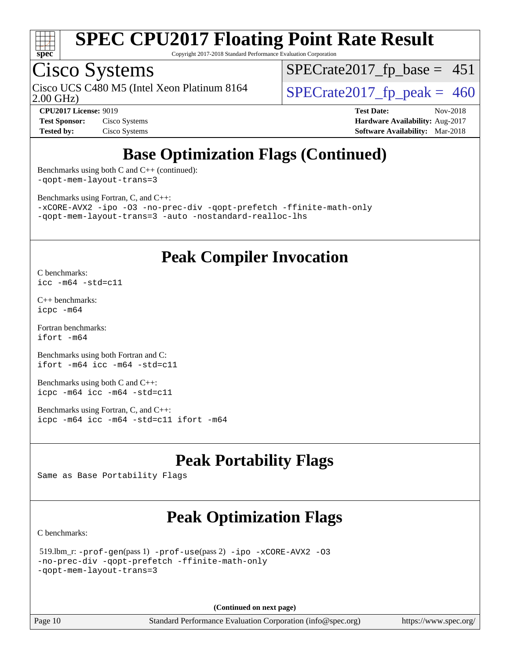

Copyright 2017-2018 Standard Performance Evaluation Corporation

## Cisco Systems

2.00 GHz) Cisco UCS C480 M5 (Intel Xeon Platinum 8164  $\vert$  [SPECrate2017\\_fp\\_peak =](http://www.spec.org/auto/cpu2017/Docs/result-fields.html#SPECrate2017fppeak) 460

 $SPECTate2017_fp\_base = 451$ 

**[Test Sponsor:](http://www.spec.org/auto/cpu2017/Docs/result-fields.html#TestSponsor)** Cisco Systems **[Hardware Availability:](http://www.spec.org/auto/cpu2017/Docs/result-fields.html#HardwareAvailability)** Aug-2017 **[Tested by:](http://www.spec.org/auto/cpu2017/Docs/result-fields.html#Testedby)** Cisco Systems **[Software Availability:](http://www.spec.org/auto/cpu2017/Docs/result-fields.html#SoftwareAvailability)** Mar-2018

**[CPU2017 License:](http://www.spec.org/auto/cpu2017/Docs/result-fields.html#CPU2017License)** 9019 **[Test Date:](http://www.spec.org/auto/cpu2017/Docs/result-fields.html#TestDate)** Nov-2018

## **[Base Optimization Flags \(Continued\)](http://www.spec.org/auto/cpu2017/Docs/result-fields.html#BaseOptimizationFlags)**

[Benchmarks using both C and C++](http://www.spec.org/auto/cpu2017/Docs/result-fields.html#BenchmarksusingbothCandCXX) (continued): [-qopt-mem-layout-trans=3](http://www.spec.org/cpu2017/results/res2018q4/cpu2017-20181113-09733.flags.html#user_CC_CXXbase_f-qopt-mem-layout-trans_de80db37974c74b1f0e20d883f0b675c88c3b01e9d123adea9b28688d64333345fb62bc4a798493513fdb68f60282f9a726aa07f478b2f7113531aecce732043)

[Benchmarks using Fortran, C, and C++:](http://www.spec.org/auto/cpu2017/Docs/result-fields.html#BenchmarksusingFortranCandCXX)

[-xCORE-AVX2](http://www.spec.org/cpu2017/results/res2018q4/cpu2017-20181113-09733.flags.html#user_CC_CXX_FCbase_f-xCORE-AVX2) [-ipo](http://www.spec.org/cpu2017/results/res2018q4/cpu2017-20181113-09733.flags.html#user_CC_CXX_FCbase_f-ipo) [-O3](http://www.spec.org/cpu2017/results/res2018q4/cpu2017-20181113-09733.flags.html#user_CC_CXX_FCbase_f-O3) [-no-prec-div](http://www.spec.org/cpu2017/results/res2018q4/cpu2017-20181113-09733.flags.html#user_CC_CXX_FCbase_f-no-prec-div) [-qopt-prefetch](http://www.spec.org/cpu2017/results/res2018q4/cpu2017-20181113-09733.flags.html#user_CC_CXX_FCbase_f-qopt-prefetch) [-ffinite-math-only](http://www.spec.org/cpu2017/results/res2018q4/cpu2017-20181113-09733.flags.html#user_CC_CXX_FCbase_f_finite_math_only_cb91587bd2077682c4b38af759c288ed7c732db004271a9512da14a4f8007909a5f1427ecbf1a0fb78ff2a814402c6114ac565ca162485bbcae155b5e4258871) [-qopt-mem-layout-trans=3](http://www.spec.org/cpu2017/results/res2018q4/cpu2017-20181113-09733.flags.html#user_CC_CXX_FCbase_f-qopt-mem-layout-trans_de80db37974c74b1f0e20d883f0b675c88c3b01e9d123adea9b28688d64333345fb62bc4a798493513fdb68f60282f9a726aa07f478b2f7113531aecce732043) [-auto](http://www.spec.org/cpu2017/results/res2018q4/cpu2017-20181113-09733.flags.html#user_CC_CXX_FCbase_f-auto) [-nostandard-realloc-lhs](http://www.spec.org/cpu2017/results/res2018q4/cpu2017-20181113-09733.flags.html#user_CC_CXX_FCbase_f_2003_std_realloc_82b4557e90729c0f113870c07e44d33d6f5a304b4f63d4c15d2d0f1fab99f5daaed73bdb9275d9ae411527f28b936061aa8b9c8f2d63842963b95c9dd6426b8a)

### **[Peak Compiler Invocation](http://www.spec.org/auto/cpu2017/Docs/result-fields.html#PeakCompilerInvocation)**

[C benchmarks](http://www.spec.org/auto/cpu2017/Docs/result-fields.html#Cbenchmarks): [icc -m64 -std=c11](http://www.spec.org/cpu2017/results/res2018q4/cpu2017-20181113-09733.flags.html#user_CCpeak_intel_icc_64bit_c11_33ee0cdaae7deeeab2a9725423ba97205ce30f63b9926c2519791662299b76a0318f32ddfffdc46587804de3178b4f9328c46fa7c2b0cd779d7a61945c91cd35)

[C++ benchmarks:](http://www.spec.org/auto/cpu2017/Docs/result-fields.html#CXXbenchmarks) [icpc -m64](http://www.spec.org/cpu2017/results/res2018q4/cpu2017-20181113-09733.flags.html#user_CXXpeak_intel_icpc_64bit_4ecb2543ae3f1412ef961e0650ca070fec7b7afdcd6ed48761b84423119d1bf6bdf5cad15b44d48e7256388bc77273b966e5eb805aefd121eb22e9299b2ec9d9)

[Fortran benchmarks](http://www.spec.org/auto/cpu2017/Docs/result-fields.html#Fortranbenchmarks): [ifort -m64](http://www.spec.org/cpu2017/results/res2018q4/cpu2017-20181113-09733.flags.html#user_FCpeak_intel_ifort_64bit_24f2bb282fbaeffd6157abe4f878425411749daecae9a33200eee2bee2fe76f3b89351d69a8130dd5949958ce389cf37ff59a95e7a40d588e8d3a57e0c3fd751)

[Benchmarks using both Fortran and C](http://www.spec.org/auto/cpu2017/Docs/result-fields.html#BenchmarksusingbothFortranandC): [ifort -m64](http://www.spec.org/cpu2017/results/res2018q4/cpu2017-20181113-09733.flags.html#user_CC_FCpeak_intel_ifort_64bit_24f2bb282fbaeffd6157abe4f878425411749daecae9a33200eee2bee2fe76f3b89351d69a8130dd5949958ce389cf37ff59a95e7a40d588e8d3a57e0c3fd751) [icc -m64 -std=c11](http://www.spec.org/cpu2017/results/res2018q4/cpu2017-20181113-09733.flags.html#user_CC_FCpeak_intel_icc_64bit_c11_33ee0cdaae7deeeab2a9725423ba97205ce30f63b9926c2519791662299b76a0318f32ddfffdc46587804de3178b4f9328c46fa7c2b0cd779d7a61945c91cd35)

[Benchmarks using both C and C++](http://www.spec.org/auto/cpu2017/Docs/result-fields.html#BenchmarksusingbothCandCXX): [icpc -m64](http://www.spec.org/cpu2017/results/res2018q4/cpu2017-20181113-09733.flags.html#user_CC_CXXpeak_intel_icpc_64bit_4ecb2543ae3f1412ef961e0650ca070fec7b7afdcd6ed48761b84423119d1bf6bdf5cad15b44d48e7256388bc77273b966e5eb805aefd121eb22e9299b2ec9d9) [icc -m64 -std=c11](http://www.spec.org/cpu2017/results/res2018q4/cpu2017-20181113-09733.flags.html#user_CC_CXXpeak_intel_icc_64bit_c11_33ee0cdaae7deeeab2a9725423ba97205ce30f63b9926c2519791662299b76a0318f32ddfffdc46587804de3178b4f9328c46fa7c2b0cd779d7a61945c91cd35)

[Benchmarks using Fortran, C, and C++:](http://www.spec.org/auto/cpu2017/Docs/result-fields.html#BenchmarksusingFortranCandCXX) [icpc -m64](http://www.spec.org/cpu2017/results/res2018q4/cpu2017-20181113-09733.flags.html#user_CC_CXX_FCpeak_intel_icpc_64bit_4ecb2543ae3f1412ef961e0650ca070fec7b7afdcd6ed48761b84423119d1bf6bdf5cad15b44d48e7256388bc77273b966e5eb805aefd121eb22e9299b2ec9d9) [icc -m64 -std=c11](http://www.spec.org/cpu2017/results/res2018q4/cpu2017-20181113-09733.flags.html#user_CC_CXX_FCpeak_intel_icc_64bit_c11_33ee0cdaae7deeeab2a9725423ba97205ce30f63b9926c2519791662299b76a0318f32ddfffdc46587804de3178b4f9328c46fa7c2b0cd779d7a61945c91cd35) [ifort -m64](http://www.spec.org/cpu2017/results/res2018q4/cpu2017-20181113-09733.flags.html#user_CC_CXX_FCpeak_intel_ifort_64bit_24f2bb282fbaeffd6157abe4f878425411749daecae9a33200eee2bee2fe76f3b89351d69a8130dd5949958ce389cf37ff59a95e7a40d588e8d3a57e0c3fd751)

## **[Peak Portability Flags](http://www.spec.org/auto/cpu2017/Docs/result-fields.html#PeakPortabilityFlags)**

Same as Base Portability Flags

## **[Peak Optimization Flags](http://www.spec.org/auto/cpu2017/Docs/result-fields.html#PeakOptimizationFlags)**

[C benchmarks](http://www.spec.org/auto/cpu2017/Docs/result-fields.html#Cbenchmarks):

```
 519.lbm_r: -prof-gen(pass 1) -prof-use(pass 2) -ipo -xCORE-AVX2 -O3
-no-prec-div -qopt-prefetch -ffinite-math-only
-qopt-mem-layout-trans=3
```
**(Continued on next page)**

Page 10 Standard Performance Evaluation Corporation [\(info@spec.org\)](mailto:info@spec.org) <https://www.spec.org/>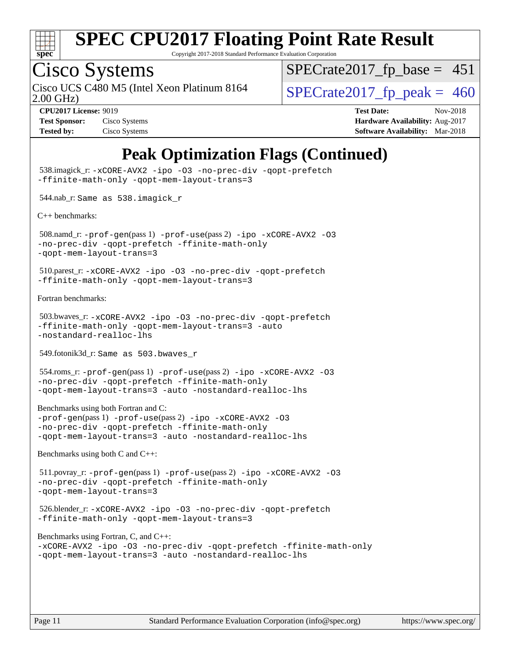

Copyright 2017-2018 Standard Performance Evaluation Corporation

## Cisco Systems

Cisco UCS C480 M5 (Intel Xeon Platinum 8164  $\vert$  [SPECrate2017\\_fp\\_peak =](http://www.spec.org/auto/cpu2017/Docs/result-fields.html#SPECrate2017fppeak) 460

 $SPECTate2017_fp\_base = 451$ 

2.00 GHz)

**[Tested by:](http://www.spec.org/auto/cpu2017/Docs/result-fields.html#Testedby)** Cisco Systems **[Software Availability:](http://www.spec.org/auto/cpu2017/Docs/result-fields.html#SoftwareAvailability)** Mar-2018

**[CPU2017 License:](http://www.spec.org/auto/cpu2017/Docs/result-fields.html#CPU2017License)** 9019 **[Test Date:](http://www.spec.org/auto/cpu2017/Docs/result-fields.html#TestDate)** Nov-2018 **[Test Sponsor:](http://www.spec.org/auto/cpu2017/Docs/result-fields.html#TestSponsor)** Cisco Systems **Cisco Systems [Hardware Availability:](http://www.spec.org/auto/cpu2017/Docs/result-fields.html#HardwareAvailability)** Aug-2017

## **[Peak Optimization Flags \(Continued\)](http://www.spec.org/auto/cpu2017/Docs/result-fields.html#PeakOptimizationFlags)**

```
 538.imagick_r: -xCORE-AVX2 -ipo -O3 -no-prec-div -qopt-prefetch
-ffinite-math-only -qopt-mem-layout-trans=3
 544.nab_r: Same as 538.imagick_r
C++ benchmarks: 
 508.namd_r: -prof-gen(pass 1) -prof-use(pass 2) -ipo -xCORE-AVX2 -O3
-no-prec-div -qopt-prefetch -ffinite-math-only
-qopt-mem-layout-trans=3
 510.parest_r: -xCORE-AVX2 -ipo -O3 -no-prec-div -qopt-prefetch
-ffinite-math-only -qopt-mem-layout-trans=3
Fortran benchmarks: 
 503.bwaves_r: -xCORE-AVX2 -ipo -O3 -no-prec-div -qopt-prefetch
-ffinite-math-only -qopt-mem-layout-trans=3 -auto
-nostandard-realloc-lhs
 549.fotonik3d_r: Same as 503.bwaves_r
 554.roms_r: -prof-gen(pass 1) -prof-use(pass 2) -ipo -xCORE-AVX2 -O3
-no-prec-div -qopt-prefetch -ffinite-math-only
-qopt-mem-layout-trans=3 -auto -nostandard-realloc-lhs
Benchmarks using both Fortran and C: 
-prof-gen(pass 1) -prof-use(pass 2) -ipo -xCORE-AVX2 -O3
-no-prec-div -qopt-prefetch -ffinite-math-only
-qopt-mem-layout-trans=3 -auto -nostandard-realloc-lhs
Benchmarks using both C and C++: 
 511.povray_r: -prof-gen(pass 1) -prof-use(pass 2) -ipo -xCORE-AVX2 -O3
-no-prec-div -qopt-prefetch -ffinite-math-only
-qopt-mem-layout-trans=3
 526.blender_r: -xCORE-AVX2 -ipo -O3 -no-prec-div -qopt-prefetch
-ffinite-math-only -qopt-mem-layout-trans=3
Benchmarks using Fortran, C, and C++: 
-xCORE-AVX2 -ipo -O3 -no-prec-div -qopt-prefetch -ffinite-math-only
-qopt-mem-layout-trans=3 -auto -nostandard-realloc-lhs
```